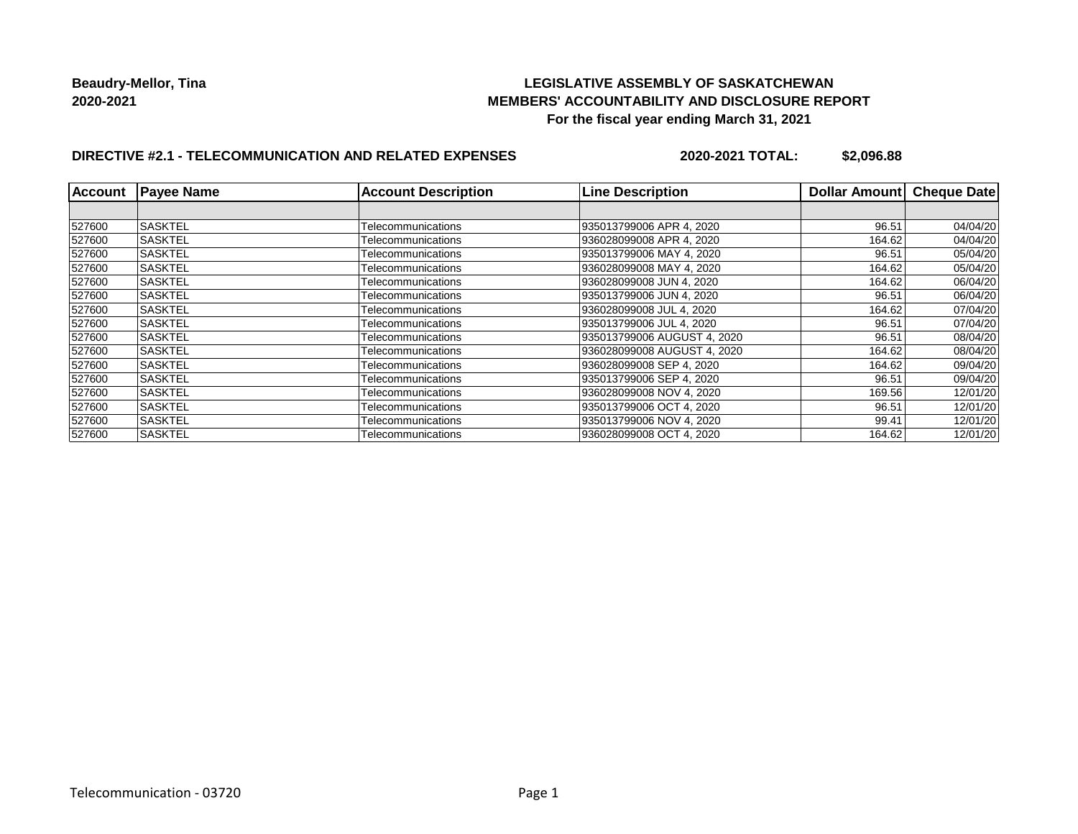## **LEGISLATIVE ASSEMBLY OF SASKATCHEWAN MEMBERS' ACCOUNTABILITY AND DISCLOSURE REPORT For the fiscal year ending March 31, 2021**

# **DIRECTIVE #2.1 - TELECOMMUNICATION AND RELATED EXPENSES**

**2020-2021 TOTAL: \$2,096.88**

| <b>Account</b> | <b>Payee Name</b> | <b>Account Description</b> | <b>Line Description</b>     | <b>Dollar Amount</b> | <b>Cheque Date</b> |
|----------------|-------------------|----------------------------|-----------------------------|----------------------|--------------------|
|                |                   |                            |                             |                      |                    |
| 527600         | <b>SASKTEL</b>    | Telecommunications         | 935013799006 APR 4, 2020    | 96.51                | 04/04/20           |
| 527600         | <b>SASKTEL</b>    | Telecommunications         | 936028099008 APR 4, 2020    | 164.62               | 04/04/20           |
| 527600         | <b>SASKTEL</b>    | Telecommunications         | 935013799006 MAY 4, 2020    | 96.51                | 05/04/20           |
| 527600         | <b>SASKTEL</b>    | Telecommunications         | 936028099008 MAY 4, 2020    | 164.62               | 05/04/20           |
| 527600         | <b>SASKTEL</b>    | Telecommunications         | 936028099008 JUN 4, 2020    | 164.62               | 06/04/20           |
| 527600         | <b>SASKTEL</b>    | Telecommunications         | 935013799006 JUN 4.2020     | 96.51                | 06/04/20           |
| 527600         | <b>SASKTEL</b>    | Telecommunications         | 936028099008 JUL 4, 2020    | 164.62               | 07/04/20           |
| 527600         | <b>SASKTEL</b>    | Telecommunications         | 935013799006 JUL 4. 2020    | 96.51                | 07/04/20           |
| 527600         | <b>SASKTEL</b>    | Telecommunications         | 935013799006 AUGUST 4, 2020 | 96.51                | 08/04/20           |
| 527600         | ISASKTEL          | Telecommunications         | 936028099008 AUGUST 4, 2020 | 164.62               | 08/04/20           |
| 527600         | <b>SASKTEL</b>    | Telecommunications         | 936028099008 SEP 4, 2020    | 164.62               | 09/04/20           |
| 527600         | <b>SASKTEL</b>    | Telecommunications         | 935013799006 SEP 4, 2020    | 96.51                | 09/04/20           |
| 527600         | <b>SASKTEL</b>    | Telecommunications         | 936028099008 NOV 4, 2020    | 169.56               | 12/01/20           |
| 527600         | ISASKTEL          | Telecommunications         | 935013799006 OCT 4, 2020    | 96.51                | 12/01/20           |
| 527600         | <b>SASKTEL</b>    | Telecommunications         | 935013799006 NOV 4, 2020    | 99.41                | 12/01/20           |
| 527600         | <b>SASKTEL</b>    | Telecommunications         | 936028099008 OCT 4, 2020    | 164.62               | 12/01/20           |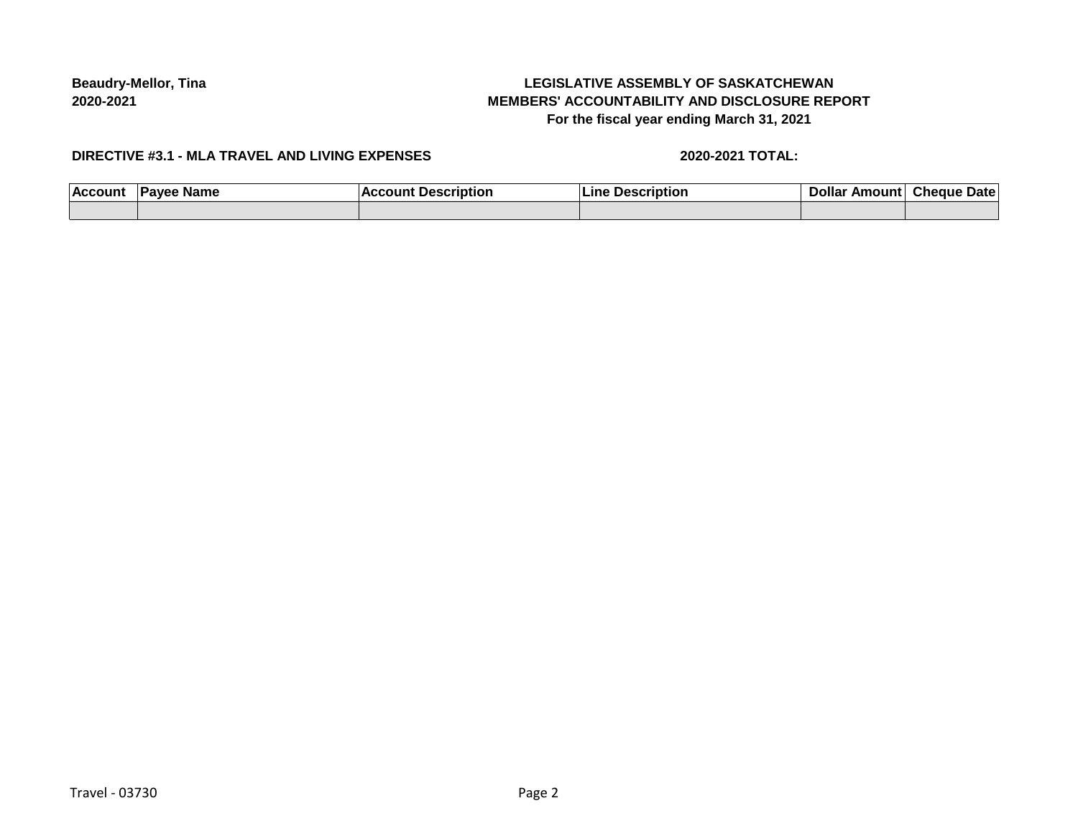# **LEGISLATIVE ASSEMBLY OF SASKATCHEWAN MEMBERS' ACCOUNTABILITY AND DISCLOSURE REPORT For the fiscal year ending March 31, 2021**

### **DIRECTIVE #3.1 - MLA TRAVEL AND LIVING EXPENSES**

#### **2020-2021 TOTAL:**

| ACCO <sub>1</sub> | <b>Name</b> | . | . | иатс |
|-------------------|-------------|---|---|------|
|                   |             |   |   |      |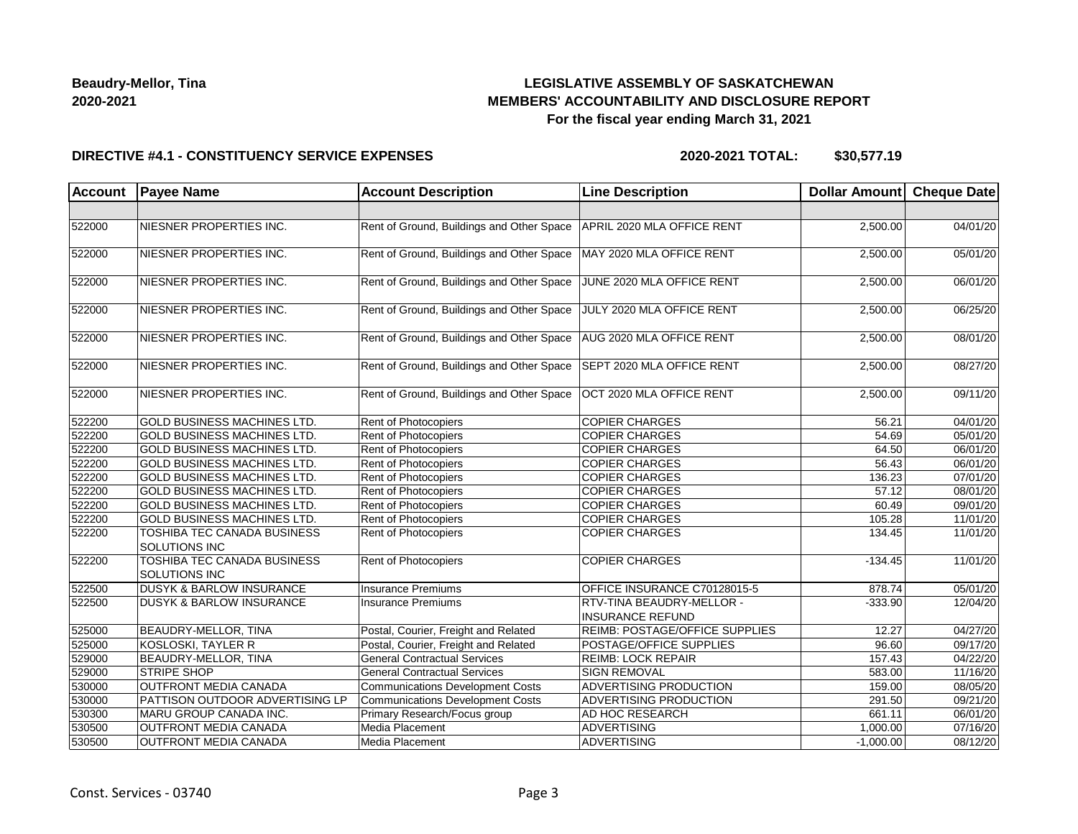## **LEGISLATIVE ASSEMBLY OF SASKATCHEWAN MEMBERS' ACCOUNTABILITY AND DISCLOSURE REPORT For the fiscal year ending March 31, 2021**

### **DIRECTIVE #4.1 - CONSTITUENCY SERVICE EXPENSES**

**2020-2021 TOTAL: \$30,577.19**

| Account | <b>Payee Name</b>                                   | <b>Account Description</b>                | <b>Line Description</b>                              | Dollar Amount Cheque Date |          |
|---------|-----------------------------------------------------|-------------------------------------------|------------------------------------------------------|---------------------------|----------|
|         |                                                     |                                           |                                                      |                           |          |
| 522000  | NIESNER PROPERTIES INC.                             | Rent of Ground, Buildings and Other Space | APRIL 2020 MLA OFFICE RENT                           | 2,500.00                  | 04/01/20 |
| 522000  | NIESNER PROPERTIES INC.                             | Rent of Ground, Buildings and Other Space | MAY 2020 MLA OFFICE RENT                             | 2,500.00                  | 05/01/20 |
| 522000  | NIESNER PROPERTIES INC.                             | Rent of Ground, Buildings and Other Space | JUNE 2020 MLA OFFICE RENT                            | 2,500.00                  | 06/01/20 |
| 522000  | NIESNER PROPERTIES INC.                             | Rent of Ground, Buildings and Other Space | JULY 2020 MLA OFFICE RENT                            | 2,500.00                  | 06/25/20 |
| 522000  | NIESNER PROPERTIES INC.                             | Rent of Ground, Buildings and Other Space | AUG 2020 MLA OFFICE RENT                             | 2,500.00                  | 08/01/20 |
| 522000  | NIESNER PROPERTIES INC.                             | Rent of Ground, Buildings and Other Space | SEPT 2020 MLA OFFICE RENT                            | 2,500.00                  | 08/27/20 |
| 522000  | NIESNER PROPERTIES INC.                             | Rent of Ground, Buildings and Other Space | OCT 2020 MLA OFFICE RENT                             | 2,500.00                  | 09/11/20 |
| 522200  | <b>GOLD BUSINESS MACHINES LTD.</b>                  | <b>Rent of Photocopiers</b>               | <b>COPIER CHARGES</b>                                | 56.21                     | 04/01/20 |
| 522200  | <b>GOLD BUSINESS MACHINES LTD.</b>                  | <b>Rent of Photocopiers</b>               | <b>COPIER CHARGES</b>                                | 54.69                     | 05/01/20 |
| 522200  | <b>GOLD BUSINESS MACHINES LTD.</b>                  | Rent of Photocopiers                      | <b>COPIER CHARGES</b>                                | 64.50                     | 06/01/20 |
| 522200  | GOLD BUSINESS MACHINES LTD.                         | <b>Rent of Photocopiers</b>               | <b>COPIER CHARGES</b>                                | 56.43                     | 06/01/20 |
| 522200  | GOLD BUSINESS MACHINES LTD.                         | Rent of Photocopiers                      | <b>COPIER CHARGES</b>                                | 136.23                    | 07/01/20 |
| 522200  | GOLD BUSINESS MACHINES LTD.                         | Rent of Photocopiers                      | <b>COPIER CHARGES</b>                                | 57.12                     | 08/01/20 |
| 522200  | GOLD BUSINESS MACHINES LTD.                         | Rent of Photocopiers                      | <b>COPIER CHARGES</b>                                | 60.49                     | 09/01/20 |
| 522200  | <b>GOLD BUSINESS MACHINES LTD.</b>                  | <b>Rent of Photocopiers</b>               | <b>COPIER CHARGES</b>                                | 105.28                    | 11/01/20 |
| 522200  | TOSHIBA TEC CANADA BUSINESS<br><b>SOLUTIONS INC</b> | <b>Rent of Photocopiers</b>               | <b>COPIER CHARGES</b>                                | 134.45                    | 11/01/20 |
| 522200  | TOSHIBA TEC CANADA BUSINESS<br><b>SOLUTIONS INC</b> | Rent of Photocopiers                      | <b>COPIER CHARGES</b>                                | $-134.45$                 | 11/01/20 |
| 522500  | <b>DUSYK &amp; BARLOW INSURANCE</b>                 | <b>Insurance Premiums</b>                 | OFFICE INSURANCE C70128015-5                         | 878.74                    | 05/01/20 |
| 522500  | <b>DUSYK &amp; BARLOW INSURANCE</b>                 | <b>Insurance Premiums</b>                 | RTV-TINA BEAUDRY-MELLOR -<br><b>INSURANCE REFUND</b> | $-333.90$                 | 12/04/20 |
| 525000  | <b>BEAUDRY-MELLOR, TINA</b>                         | Postal, Courier, Freight and Related      | REIMB: POSTAGE/OFFICE SUPPLIES                       | 12.27                     | 04/27/20 |
| 525000  | KOSLOSKI, TAYLER R                                  | Postal, Courier, Freight and Related      | POSTAGE/OFFICE SUPPLIES                              | 96.60                     | 09/17/20 |
| 529000  | <b>BEAUDRY-MELLOR, TINA</b>                         | <b>General Contractual Services</b>       | <b>REIMB: LOCK REPAIR</b>                            | 157.43                    | 04/22/20 |
| 529000  | <b>STRIPE SHOP</b>                                  | <b>General Contractual Services</b>       | <b>SIGN REMOVAL</b>                                  | 583.00                    | 11/16/20 |
| 530000  | <b>OUTFRONT MEDIA CANADA</b>                        | Communications Development Costs          | ADVERTISING PRODUCTION                               | 159.00                    | 08/05/20 |
| 530000  | PATTISON OUTDOOR ADVERTISING LP                     | <b>Communications Development Costs</b>   | <b>ADVERTISING PRODUCTION</b>                        | 291.50                    | 09/21/20 |
| 530300  | MARU GROUP CANADA INC.                              | Primary Research/Focus group              | AD HOC RESEARCH                                      | 661.11                    | 06/01/20 |
| 530500  | OUTFRONT MEDIA CANADA                               | Media Placement                           | <b>ADVERTISING</b>                                   | 1,000.00                  | 07/16/20 |
| 530500  | <b>OUTFRONT MEDIA CANADA</b>                        | Media Placement                           | ADVERTISING                                          | $-1,000.00$               | 08/12/20 |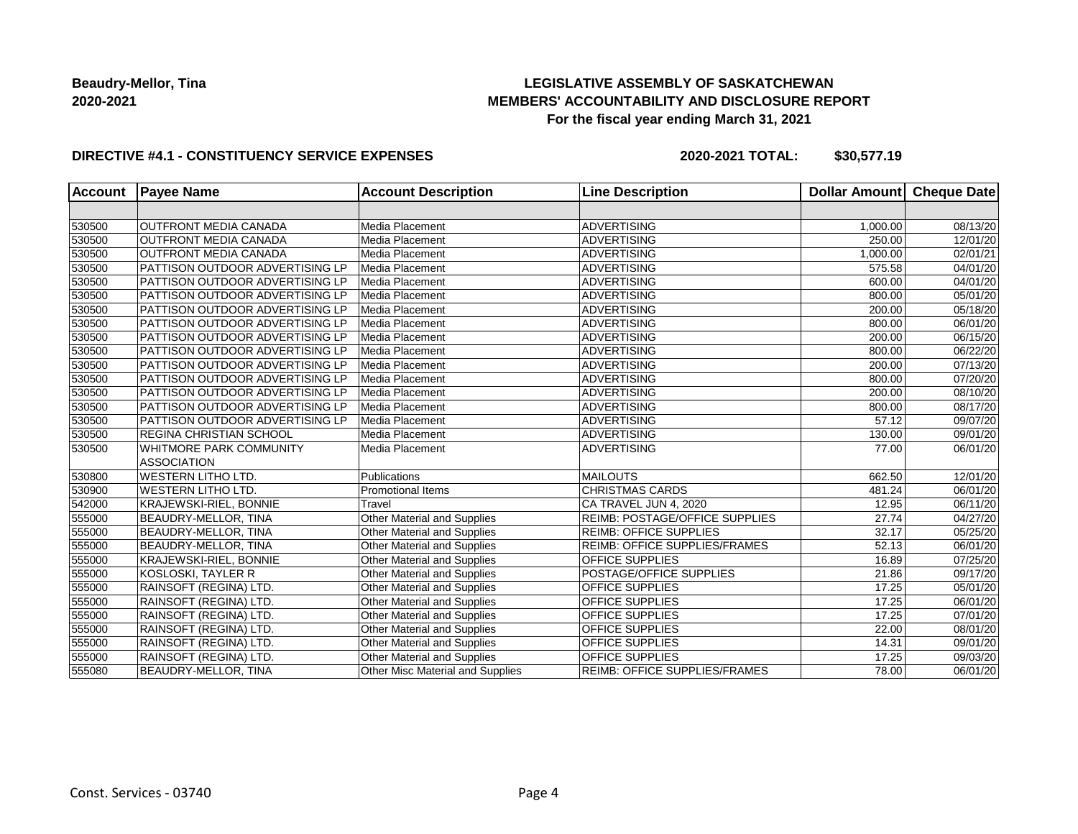## **LEGISLATIVE ASSEMBLY OF SASKATCHEWAN MEMBERS' ACCOUNTABILITY AND DISCLOSURE REPORT For the fiscal year ending March 31, 2021**

### **DIRECTIVE #4.1 - CONSTITUENCY SERVICE EXPENSES**

**2020-2021 TOTAL: \$30,577.19**

| <b>Account</b> | <b>Payee Name</b>                      | <b>Account Description</b>         | <b>Line Description</b>              | Dollar Amount Cheque Date |                        |
|----------------|----------------------------------------|------------------------------------|--------------------------------------|---------------------------|------------------------|
|                |                                        |                                    |                                      |                           |                        |
| 530500         | <b>OUTFRONT MEDIA CANADA</b>           | Media Placement                    | <b>ADVERTISING</b>                   | 1,000.00                  | 08/13/20               |
| 530500         | <b>OUTFRONT MEDIA CANADA</b>           | Media Placement                    | <b>ADVERTISING</b>                   | 250.00                    | 12/01/20               |
| 530500         | <b>OUTFRONT MEDIA CANADA</b>           | Media Placement                    | <b>ADVERTISING</b>                   | 1,000.00                  | 02/01/21               |
| 530500         | <b>PATTISON OUTDOOR ADVERTISING LP</b> | Media Placement                    | <b>ADVERTISING</b>                   | 575.58                    | 04/01/20               |
| 530500         | PATTISON OUTDOOR ADVERTISING LP        | Media Placement                    | <b>ADVERTISING</b>                   | 600.00                    | 04/01/20               |
| 530500         | PATTISON OUTDOOR ADVERTISING LP        | Media Placement                    | <b>ADVERTISING</b>                   | 800.00                    | 05/01/20               |
| 530500         | PATTISON OUTDOOR ADVERTISING LP        | Media Placement                    | <b>ADVERTISING</b>                   | 200.00                    | 05/18/20               |
| 530500         | PATTISON OUTDOOR ADVERTISING LP        | Media Placement                    | <b>ADVERTISING</b>                   | 800.00                    | 06/01/20               |
| 530500         | PATTISON OUTDOOR ADVERTISING LP        | Media Placement                    | <b>ADVERTISING</b>                   | 200.00                    | 06/15/20               |
| 530500         | <b>PATTISON OUTDOOR ADVERTISING LP</b> | Media Placement                    | ADVERTISING                          | 800.00                    | 06/22/20               |
| 530500         | <b>PATTISON OUTDOOR ADVERTISING LP</b> | Media Placement                    | <b>ADVERTISING</b>                   | 200.00                    | 07/13/20               |
| 530500         | PATTISON OUTDOOR ADVERTISING LP        | Media Placement                    | <b>ADVERTISING</b>                   | 800.00                    | 07/20/20               |
| 530500         | PATTISON OUTDOOR ADVERTISING LP        | Media Placement                    | <b>ADVERTISING</b>                   | 200.00                    | 08/10/20               |
| 530500         | <b>PATTISON OUTDOOR ADVERTISING LP</b> | Media Placement                    | <b>ADVERTISING</b>                   | 800.00                    | 08/17/20               |
| 530500         | PATTISON OUTDOOR ADVERTISING LP        | Media Placement                    | <b>ADVERTISING</b>                   | 57.12                     | 09/07/20               |
| 530500         | <b>REGINA CHRISTIAN SCHOOL</b>         | Media Placement                    | <b>ADVERTISING</b>                   | 130.00                    | 09/01/20               |
| 530500         | <b>WHITMORE PARK COMMUNITY</b>         | Media Placement                    | <b>ADVERTISING</b>                   | 77.00                     | 06/01/20               |
|                | <b>ASSOCIATION</b>                     |                                    |                                      |                           |                        |
| 530800         | <b>WESTERN LITHO LTD.</b>              | Publications                       | <b>MAILOUTS</b>                      | 662.50                    | 12/01/20               |
| 530900         | <b>WESTERN LITHO LTD.</b>              | <b>Promotional Items</b>           | <b>CHRISTMAS CARDS</b>               | 481.24                    | 06/01/20               |
| 542000         | KRAJEWSKI-RIEL, BONNIE                 | Travel                             | CA TRAVEL JUN 4, 2020                | 12.95                     | $\overline{06}/11/20$  |
| 555000         | BEAUDRY-MELLOR, TINA                   | Other Material and Supplies        | REIMB: POSTAGE/OFFICE SUPPLIES       | 27.74                     | 04/27/20               |
| 555000         | BEAUDRY-MELLOR, TINA                   | Other Material and Supplies        | <b>REIMB: OFFICE SUPPLIES</b>        | 32.17                     | 05/25/20               |
| 555000         | BEAUDRY-MELLOR, TINA                   | <b>Other Material and Supplies</b> | REIMB: OFFICE SUPPLIES/FRAMES        | 52.13                     | 06/01/20               |
| 555000         | <b>KRAJEWSKI-RIEL, BONNIE</b>          | Other Material and Supplies        | OFFICE SUPPLIES                      | 16.89                     | 07/25/20               |
| 555000         | KOSLOSKI, TAYLER R                     | Other Material and Supplies        | <b>POSTAGE/OFFICE SUPPLIES</b>       | 21.86                     | $\overline{09}$ /17/20 |
| 555000         | RAINSOFT (REGINA) LTD.                 | Other Material and Supplies        | <b>OFFICE SUPPLIES</b>               | 17.25                     | 05/01/20               |
| 555000         | RAINSOFT (REGINA) LTD.                 | Other Material and Supplies        | OFFICE SUPPLIES                      | 17.25                     | 06/01/20               |
| 555000         | RAINSOFT (REGINA) LTD.                 | Other Material and Supplies        | OFFICE SUPPLIES                      | 17.25                     | 07/01/20               |
| 555000         | RAINSOFT (REGINA) LTD.                 | Other Material and Supplies        | OFFICE SUPPLIES                      | 22.00                     | 08/01/20               |
| 555000         | RAINSOFT (REGINA) LTD.                 | Other Material and Supplies        | <b>OFFICE SUPPLIES</b>               | 14.31                     | 09/01/20               |
| 555000         | RAINSOFT (REGINA) LTD.                 | Other Material and Supplies        | OFFICE SUPPLIES                      | 17.25                     | 09/03/20               |
| 555080         | BEAUDRY-MELLOR, TINA                   | Other Misc Material and Supplies   | <b>REIMB: OFFICE SUPPLIES/FRAMES</b> | 78.00                     | 06/01/20               |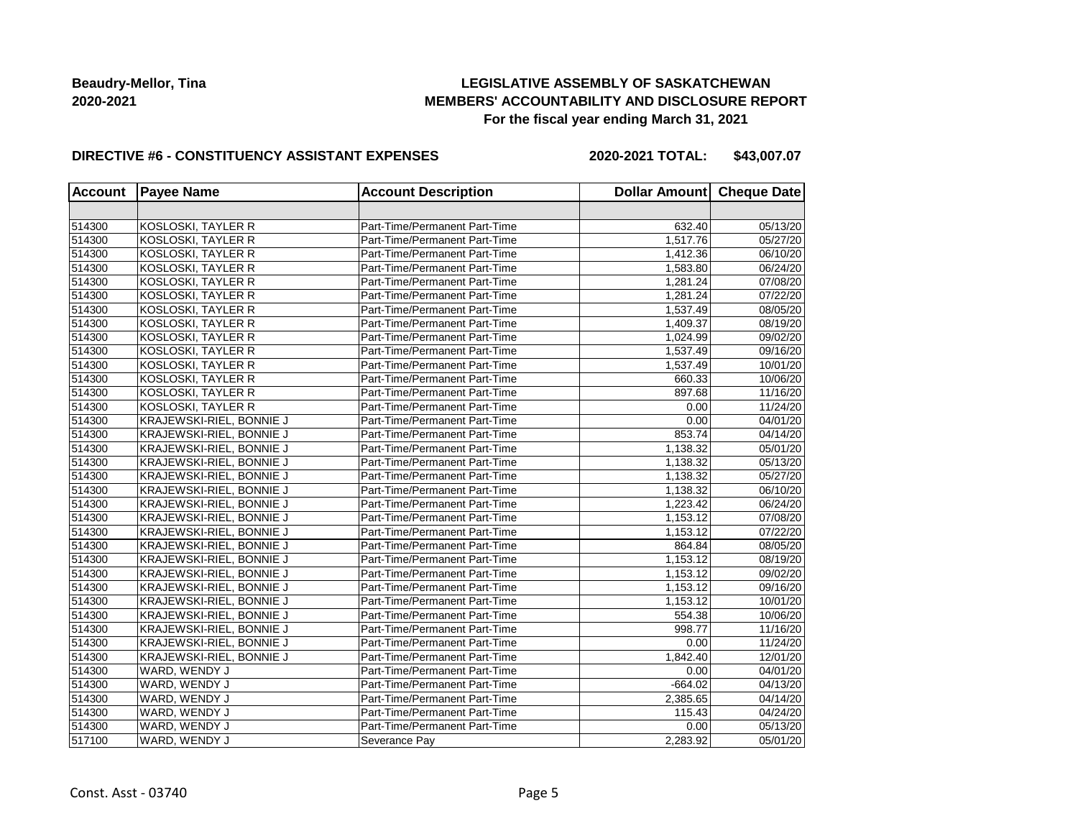## **LEGISLATIVE ASSEMBLY OF SASKATCHEWAN MEMBERS' ACCOUNTABILITY AND DISCLOSURE REPORT For the fiscal year ending March 31, 2021**

### **DIRECTIVE #6 - CONSTITUENCY ASSISTANT EXPENSES**

**2020-2021 TOTAL: \$43,007.07**

| <b>Account</b> | <b>Payee Name</b>         | <b>Account Description</b>    | Dollar Amount Cheque Date |          |
|----------------|---------------------------|-------------------------------|---------------------------|----------|
|                |                           |                               |                           |          |
| 514300         | KOSLOSKI, TAYLER R        | Part-Time/Permanent Part-Time | 632.40                    | 05/13/20 |
| 514300         | <b>KOSLOSKI, TAYLER R</b> | Part-Time/Permanent Part-Time | 1,517.76                  | 05/27/20 |
| 514300         | <b>KOSLOSKI, TAYLER R</b> | Part-Time/Permanent Part-Time | 1,412.36                  | 06/10/20 |
| 514300         | <b>KOSLOSKI, TAYLER R</b> | Part-Time/Permanent Part-Time | 1,583.80                  | 06/24/20 |
| 514300         | <b>KOSLOSKI, TAYLER R</b> | Part-Time/Permanent Part-Time | 1,281.24                  | 07/08/20 |
| 514300         | KOSLOSKI, TAYLER R        | Part-Time/Permanent Part-Time | 1,281.24                  | 07/22/20 |
| 514300         | KOSLOSKI, TAYLER R        | Part-Time/Permanent Part-Time | 1,537.49                  | 08/05/20 |
| 514300         | KOSLOSKI, TAYLER R        | Part-Time/Permanent Part-Time | 1,409.37                  | 08/19/20 |
| 514300         | KOSLOSKI, TAYLER R        | Part-Time/Permanent Part-Time | 1,024.99                  | 09/02/20 |
| 514300         | KOSLOSKI, TAYLER R        | Part-Time/Permanent Part-Time | 1,537.49                  | 09/16/20 |
| 514300         | <b>KOSLOSKI, TAYLER R</b> | Part-Time/Permanent Part-Time | 1,537.49                  | 10/01/20 |
| 514300         | <b>KOSLOSKI, TAYLER R</b> | Part-Time/Permanent Part-Time | 660.33                    | 10/06/20 |
| 514300         | KOSLOSKI, TAYLER R        | Part-Time/Permanent Part-Time | 897.68                    | 11/16/20 |
| 514300         | KOSLOSKI, TAYLER R        | Part-Time/Permanent Part-Time | 0.00                      | 11/24/20 |
| 514300         | KRAJEWSKI-RIEL, BONNIE J  | Part-Time/Permanent Part-Time | 0.00                      | 04/01/20 |
| 514300         | KRAJEWSKI-RIEL, BONNIE J  | Part-Time/Permanent Part-Time | 853.74                    | 04/14/20 |
| 514300         | KRAJEWSKI-RIEL, BONNIE J  | Part-Time/Permanent Part-Time | 1,138.32                  | 05/01/20 |
| 514300         | KRAJEWSKI-RIEL, BONNIE J  | Part-Time/Permanent Part-Time | 1,138.32                  | 05/13/20 |
| 514300         | KRAJEWSKI-RIEL, BONNIE J  | Part-Time/Permanent Part-Time | 1,138.32                  | 05/27/20 |
| 514300         | KRAJEWSKI-RIEL, BONNIE J  | Part-Time/Permanent Part-Time | 1,138.32                  | 06/10/20 |
| 514300         | KRAJEWSKI-RIEL, BONNIE J  | Part-Time/Permanent Part-Time | 1,223.42                  | 06/24/20 |
| 514300         | KRAJEWSKI-RIEL, BONNIE J  | Part-Time/Permanent Part-Time | 1,153.12                  | 07/08/20 |
| 514300         | KRAJEWSKI-RIEL, BONNIE J  | Part-Time/Permanent Part-Time | 1,153.12                  | 07/22/20 |
| 514300         | KRAJEWSKI-RIEL, BONNIE J  | Part-Time/Permanent Part-Time | 864.84                    | 08/05/20 |
| 514300         | KRAJEWSKI-RIEL, BONNIE J  | Part-Time/Permanent Part-Time | 1,153.12                  | 08/19/20 |
| 514300         | KRAJEWSKI-RIEL, BONNIE J  | Part-Time/Permanent Part-Time | 1,153.12                  | 09/02/20 |
| 514300         | KRAJEWSKI-RIEL, BONNIE J  | Part-Time/Permanent Part-Time | 1,153.12                  | 09/16/20 |
| 514300         | KRAJEWSKI-RIEL, BONNIE J  | Part-Time/Permanent Part-Time | 1,153.12                  | 10/01/20 |
| 514300         | KRAJEWSKI-RIEL, BONNIE J  | Part-Time/Permanent Part-Time | 554.38                    | 10/06/20 |
| 514300         | KRAJEWSKI-RIEL, BONNIE J  | Part-Time/Permanent Part-Time | 998.77                    | 11/16/20 |
| 514300         | KRAJEWSKI-RIEL, BONNIE J  | Part-Time/Permanent Part-Time | 0.00                      | 11/24/20 |
| 514300         | KRAJEWSKI-RIEL, BONNIE J  | Part-Time/Permanent Part-Time | 1,842.40                  | 12/01/20 |
| 514300         | WARD, WENDY J             | Part-Time/Permanent Part-Time | 0.00                      | 04/01/20 |
| 514300         | WARD, WENDY J             | Part-Time/Permanent Part-Time | $-664.02$                 | 04/13/20 |
| 514300         | WARD, WENDY J             | Part-Time/Permanent Part-Time | 2,385.65                  | 04/14/20 |
| 514300         | WARD, WENDY J             | Part-Time/Permanent Part-Time | 115.43                    | 04/24/20 |
| 514300         | WARD, WENDY J             | Part-Time/Permanent Part-Time | 0.00                      | 05/13/20 |
| 517100         | WARD, WENDY J             | Severance Pay                 | 2,283.92                  | 05/01/20 |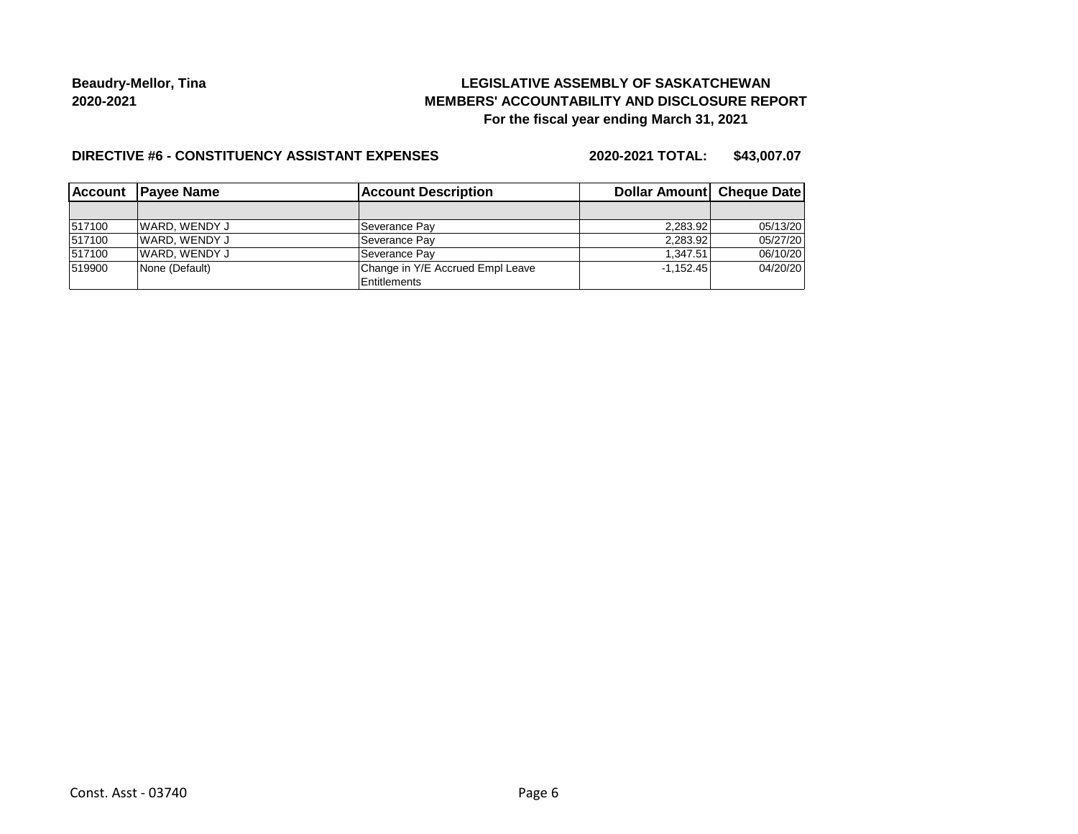## **LEGISLATIVE ASSEMBLY OF SASKATCHEWAN MEMBERS' ACCOUNTABILITY AND DISCLOSURE REPORT For the fiscal year ending March 31, 2021**

#### **DIRECTIVE #6 - CONSTITUENCY ASSISTANT EXPENSES**

**2020-2021 TOTAL: \$43,007.07**

| <b>IAccount</b> | <b>Account Description</b><br><b>IPavee Name</b> |                                  | Dollar Amount   Cheque Date |          |  |
|-----------------|--------------------------------------------------|----------------------------------|-----------------------------|----------|--|
|                 |                                                  |                                  |                             |          |  |
| 517100          | IWARD. WENDY J                                   | Severance Pay                    | 2.283.92                    | 05/13/20 |  |
| 517100          | WARD, WENDY J                                    | Severance Pav                    | 2.283.92                    | 05/27/20 |  |
| 517100          | WARD, WENDY J                                    | Severance Pav                    | 1.347.51                    | 06/10/20 |  |
| 519900          | None (Default)                                   | Change in Y/E Accrued Empl Leave | $-1.152.45$                 | 04/20/20 |  |
|                 |                                                  | Entitlements                     |                             |          |  |